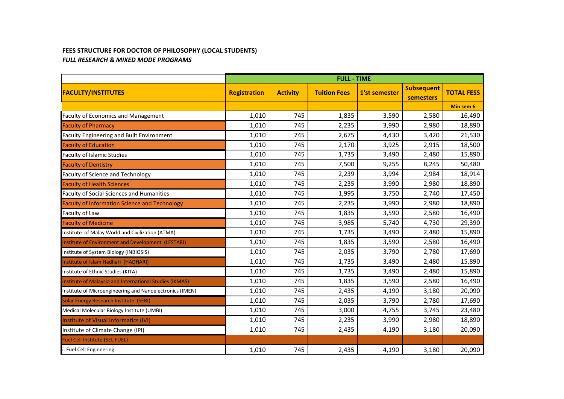## **FEES STRUCTURE FOR DOCTOR OF PHILOSOPHY (LOCAL STUDENTS)**  *FULL RESEARCH & MIXED MODE PROGRAMS*

|                                                          | <b>FULL - TIME</b>  |                 |                     |               |                                |                   |
|----------------------------------------------------------|---------------------|-----------------|---------------------|---------------|--------------------------------|-------------------|
| <b>FACULTY/INSTITUTES</b>                                | <b>Registration</b> | <b>Activity</b> | <b>Tuition Fees</b> | 1'st semester | <b>Subsequent</b><br>semesters | <b>TOTAL FESS</b> |
|                                                          |                     |                 |                     |               |                                | Min sem 6         |
| <b>Faculty of Economics and Management</b>               | 1,010               | 745             | 1,835               | 3,590         | 2,580                          | 16,490            |
| <b>Faculty of Pharmacy</b>                               | 1,010               | 745             | 2,235               | 3,990         | 2,980                          | 18,890            |
| Faculty Engineering and Built Environment                | 1,010               | 745             | 2,675               | 4,430         | 3,420                          | 21,530            |
| <b>Faculty of Education</b>                              | 1,010               | 745             | 2,170               | 3,925         | 2,915                          | 18,500            |
| <b>Faculty of Islamic Studies</b>                        | 1,010               | 745             | 1,735               | 3,490         | 2,480                          | 15,890            |
| <b>Faculty of Dentistry</b>                              | 1,010               | 745             | 7,500               | 9,255         | 8,245                          | 50,480            |
| <b>Faculty of Science and Technology</b>                 | 1,010               | 745             | 2,239               | 3,994         | 2,984                          | 18,914            |
| <b>Faculty of Health Sciences</b>                        | 1,010               | 745             | 2,235               | 3,990         | 2,980                          | 18,890            |
| Faculty of Social Sciences and Humanities                | 1,010               | 745             | 1,995               | 3,750         | 2,740                          | 17,450            |
| <b>Faculty of Information Science and Technology</b>     | 1,010               | 745             | 2,235               | 3,990         | 2,980                          | 18,890            |
| Faculty of Law                                           | 1,010               | 745             | 1,835               | 3,590         | 2,580                          | 16,490            |
| <b>Faculty of Medicine</b>                               | 1,010               | 745             | 3,985               | 5,740         | 4,730                          | 29,390            |
| Institute of Malay World and Civilization (ATMA)         | 1,010               | 745             | 1,735               | 3,490         | 2,480                          | 15,890            |
| Institute of Environment and Development (LESTARI)       | 1,010               | 745             | 1,835               | 3,590         | 2,580                          | 16,490            |
| Institute of System Biology (INBIOSIS)                   | 1,010               | 745             | 2,035               | 3,790         | 2,780                          | 17,690            |
| Institute of Islam Hadhari (HADHARI)                     | 1,010               | 745             | 1,735               | 3,490         | 2,480                          | 15,890            |
| Institute of Ethnic Studies (KITA)                       | 1,010               | 745             | 1,735               | 3,490         | 2,480                          | 15,890            |
| Institute of Malaysia and International Studies (IKMAS)  | 1,010               | 745             | 1,835               | 3,590         | 2,580                          | 16,490            |
| Institute of Microengineering and Nanoelectronics (IMEN) | 1,010               | 745             | 2,435               | 4,190         | 3,180                          | 20,090            |
| Solar Energy Research Institute (SERI)                   | 1,010               | 745             | 2,035               | 3,790         | 2,780                          | 17,690            |
| Medical Molecular Biology Institute (UMBI)               | 1,010               | 745             | 3,000               | 4,755         | 3,745                          | 23,480            |
| Institute of Visual Informatics (IVI)                    | 1,010               | 745             | 2,235               | 3,990         | 2,980                          | 18,890            |
| Institute of Climate Change (IPI)                        | 1,010               | 745             | 2,435               | 4,190         | 3,180                          | 20,090            |
| Fuel Cell Institute (SEL FUEL)                           |                     |                 |                     |               |                                |                   |
| i. Fuel Cell Engineering                                 | 1,010               | 745             | 2,435               | 4,190         | 3,180                          | 20,090            |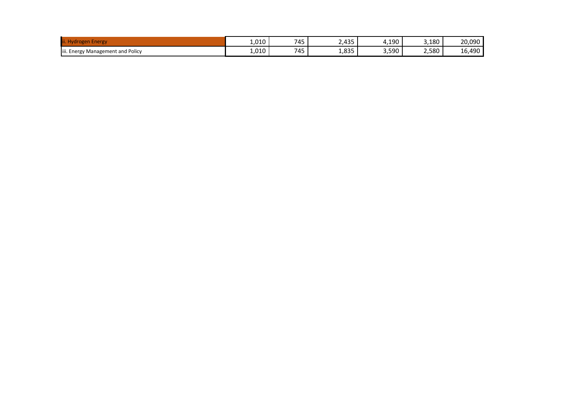| .                                                     | 010<br>1.UIU        | 745<br>- - | 135<br>----          | ,190  | 3,180 | 20,090             |
|-------------------------------------------------------|---------------------|------------|----------------------|-------|-------|--------------------|
| / Management and Policy<br>iii. Energy N<br>$\bullet$ | 010<br><b>I,UIU</b> | 745<br>- - | <b>835</b><br>ر ر∟ب⊥ | 3,590 | 2,580 | 100<br>. .<br>10.' |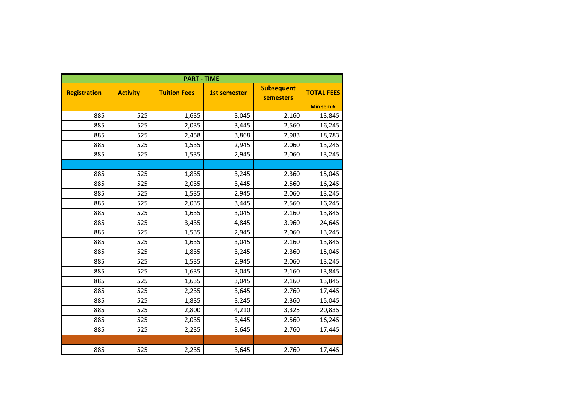| <b>PART - TIME</b>  |                 |                     |                     |                                       |                   |  |  |
|---------------------|-----------------|---------------------|---------------------|---------------------------------------|-------------------|--|--|
| <b>Registration</b> | <b>Activity</b> | <b>Tuition Fees</b> | <b>1st semester</b> | <b>Subsequent</b><br><b>semesters</b> | <b>TOTAL FEES</b> |  |  |
|                     |                 |                     |                     |                                       | Min sem 6         |  |  |
| 885                 | 525             | 1,635               | 3,045               | 2,160                                 | 13,845            |  |  |
| 885                 | 525             | 2,035               | 3,445               | 2,560                                 | 16,245            |  |  |
| 885                 | 525             | 2,458               | 3,868               | 2,983                                 | 18,783            |  |  |
| 885                 | 525             | 1,535               | 2,945               | 2,060                                 | 13,245            |  |  |
| 885                 | 525             | 1,535               | 2,945               | 2,060                                 | 13,245            |  |  |
|                     |                 |                     |                     |                                       |                   |  |  |
| 885                 | 525             | 1,835               | 3,245               | 2,360                                 | 15,045            |  |  |
| 885                 | 525             | 2,035               | 3,445               | 2,560                                 | 16,245            |  |  |
| 885                 | 525             | 1,535               | 2,945               | 2,060                                 | 13,245            |  |  |
| 885                 | 525             | 2,035               | 3,445               | 2,560                                 | 16,245            |  |  |
| 885                 | 525             | 1,635               | 3,045               | 2,160                                 | 13,845            |  |  |
| 885                 | 525             | 3,435               | 4,845               | 3,960                                 | 24,645            |  |  |
| 885                 | 525             | 1,535               | 2,945               | 2,060                                 | 13,245            |  |  |
| 885                 | 525             | 1,635               | 3,045               | 2,160                                 | 13,845            |  |  |
| 885                 | 525             | 1,835               | 3,245               | 2,360                                 | 15,045            |  |  |
| 885                 | 525             | 1,535               | 2,945               | 2,060                                 | 13,245            |  |  |
| 885                 | 525             | 1,635               | 3,045               | 2,160                                 | 13,845            |  |  |
| 885                 | 525             | 1,635               | 3,045               | 2,160                                 | 13,845            |  |  |
| 885                 | 525             | 2,235               | 3,645               | 2,760                                 | 17,445            |  |  |
| 885                 | 525             | 1,835               | 3,245               | 2,360                                 | 15,045            |  |  |
| 885                 | 525             | 2,800               | 4,210               | 3,325                                 | 20,835            |  |  |
| 885                 | 525             | 2,035               | 3,445               | 2,560                                 | 16,245            |  |  |
| 885                 | 525             | 2,235               | 3,645               | 2,760                                 | 17,445            |  |  |
|                     |                 |                     |                     |                                       |                   |  |  |
| 885                 | 525             | 2,235               | 3,645               | 2,760                                 | 17,445            |  |  |